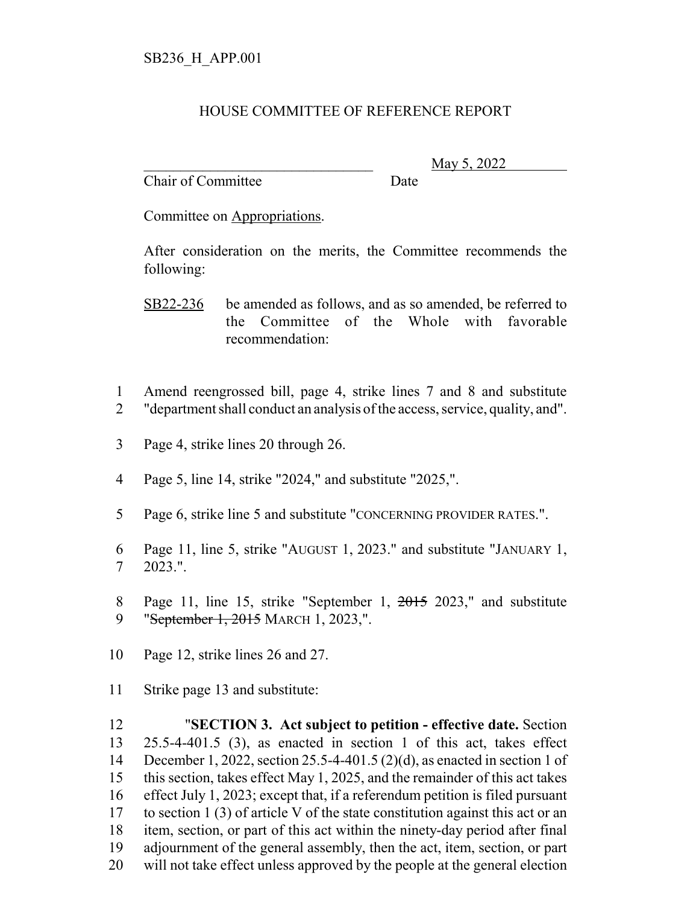## HOUSE COMMITTEE OF REFERENCE REPORT

Chair of Committee Date

\_\_\_\_\_\_\_\_\_\_\_\_\_\_\_\_\_\_\_\_\_\_\_\_\_\_\_\_\_\_\_ May 5, 2022

Committee on Appropriations.

After consideration on the merits, the Committee recommends the following:

SB22-236 be amended as follows, and as so amended, be referred to the Committee of the Whole with favorable recommendation:

- 1 Amend reengrossed bill, page 4, strike lines 7 and 8 and substitute 2 "department shall conduct an analysis of the access, service, quality, and".
- 3 Page 4, strike lines 20 through 26.
- 4 Page 5, line 14, strike "2024," and substitute "2025,".
- 5 Page 6, strike line 5 and substitute "CONCERNING PROVIDER RATES.".
- 6 Page 11, line 5, strike "AUGUST 1, 2023." and substitute "JANUARY 1, 7 2023.".
- 8 Page 11, line 15, strike "September 1, 2015 2023," and substitute 9 "September 1, 2015 MARCH 1, 2023,".
- 10 Page 12, strike lines 26 and 27.
- 11 Strike page 13 and substitute:

 "**SECTION 3. Act subject to petition - effective date.** Section 25.5-4-401.5 (3), as enacted in section 1 of this act, takes effect December 1, 2022, section 25.5-4-401.5 (2)(d), as enacted in section 1 of this section, takes effect May 1, 2025, and the remainder of this act takes effect July 1, 2023; except that, if a referendum petition is filed pursuant to section 1 (3) of article V of the state constitution against this act or an item, section, or part of this act within the ninety-day period after final adjournment of the general assembly, then the act, item, section, or part will not take effect unless approved by the people at the general election